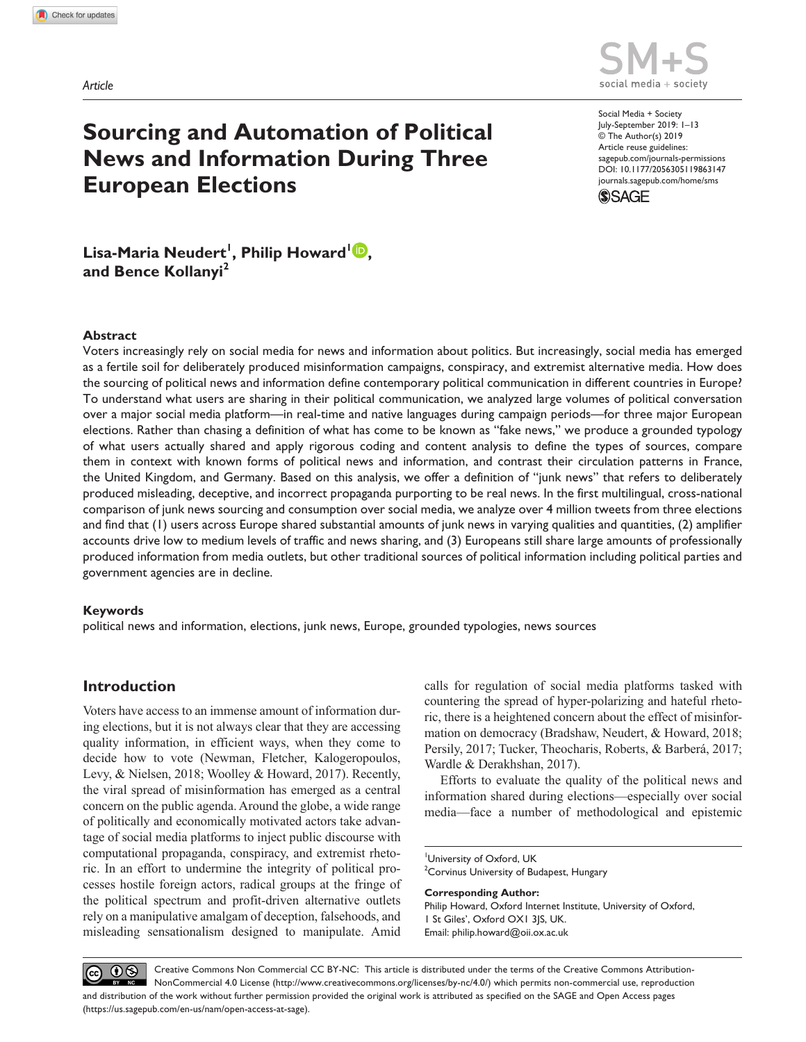*Article*



https://doi.org/10.1177/2056305119863147 DOI: 10.1177/2056305119863147 Social Media + Society July-September 2019: 1–13 © The Author(s) 2019 Article reuse guidelines: [sagepub.com/journals-permissions](https://uk.sagepub.com/en-gb/journals-permissions) [journals.sagepub.com/home/sms](https://journals.sagepub.com/home/sms)



**Lisa-Maria Neudert1 , Philip Howard1 , and Bence Kollanyi2**

**European Elections**

**Sourcing and Automation of Political News and Information During Three** 

## **Abstract**

Voters increasingly rely on social media for news and information about politics. But increasingly, social media has emerged as a fertile soil for deliberately produced misinformation campaigns, conspiracy, and extremist alternative media. How does the sourcing of political news and information define contemporary political communication in different countries in Europe? To understand what users are sharing in their political communication, we analyzed large volumes of political conversation over a major social media platform—in real-time and native languages during campaign periods—for three major European elections. Rather than chasing a definition of what has come to be known as "fake news," we produce a grounded typology of what users actually shared and apply rigorous coding and content analysis to define the types of sources, compare them in context with known forms of political news and information, and contrast their circulation patterns in France, the United Kingdom, and Germany. Based on this analysis, we offer a definition of "junk news" that refers to deliberately produced misleading, deceptive, and incorrect propaganda purporting to be real news. In the first multilingual, cross-national comparison of junk news sourcing and consumption over social media, we analyze over 4 million tweets from three elections and find that (1) users across Europe shared substantial amounts of junk news in varying qualities and quantities, (2) amplifier accounts drive low to medium levels of traffic and news sharing, and (3) Europeans still share large amounts of professionally produced information from media outlets, but other traditional sources of political information including political parties and government agencies are in decline.

#### **Keywords**

political news and information, elections, junk news, Europe, grounded typologies, news sources

## **Introduction**

Voters have access to an immense amount of information during elections, but it is not always clear that they are accessing quality information, in efficient ways, when they come to decide how to vote (Newman, Fletcher, Kalogeropoulos, Levy, & Nielsen, 2018; Woolley & Howard, 2017). Recently, the viral spread of misinformation has emerged as a central concern on the public agenda. Around the globe, a wide range of politically and economically motivated actors take advantage of social media platforms to inject public discourse with computational propaganda, conspiracy, and extremist rhetoric. In an effort to undermine the integrity of political processes hostile foreign actors, radical groups at the fringe of the political spectrum and profit-driven alternative outlets rely on a manipulative amalgam of deception, falsehoods, and misleading sensationalism designed to manipulate. Amid

calls for regulation of social media platforms tasked with countering the spread of hyper-polarizing and hateful rhetoric, there is a heightened concern about the effect of misinformation on democracy (Bradshaw, Neudert, & Howard, 2018; Persily, 2017; Tucker, Theocharis, Roberts, & Barberá, 2017; Wardle & Derakhshan, 2017).

Efforts to evaluate the quality of the political news and information shared during elections—especially over social media—face a number of methodological and epistemic

 $\rm ^2$ Corvinus University of Budapest, Hungary

**Corresponding Author:** Philip Howard, Oxford Internet Institute, University of Oxford,

1 St Giles', Oxford OX1 3JS, UK. Email: [philip.howard@oii.ox.ac.uk](mailto:philip.howard@oii.ox.ac.uk)

 $\circledcirc$   $\circledcirc$ Creative Commons Non Commercial CC BY-NC: This article is distributed under the terms of the Creative Commons Attribution-NonCommercial 4.0 License (http://www.creativecommons.org/licenses/by-nc/4.0/) which permits non-commercial use, reproduction and distribution of the work without further permission provided the original work is attributed as specified on the SAGE and Open Access pages (https://us.sagepub.com/en-us/nam/open-access-at-sage).

University of Oxford, UK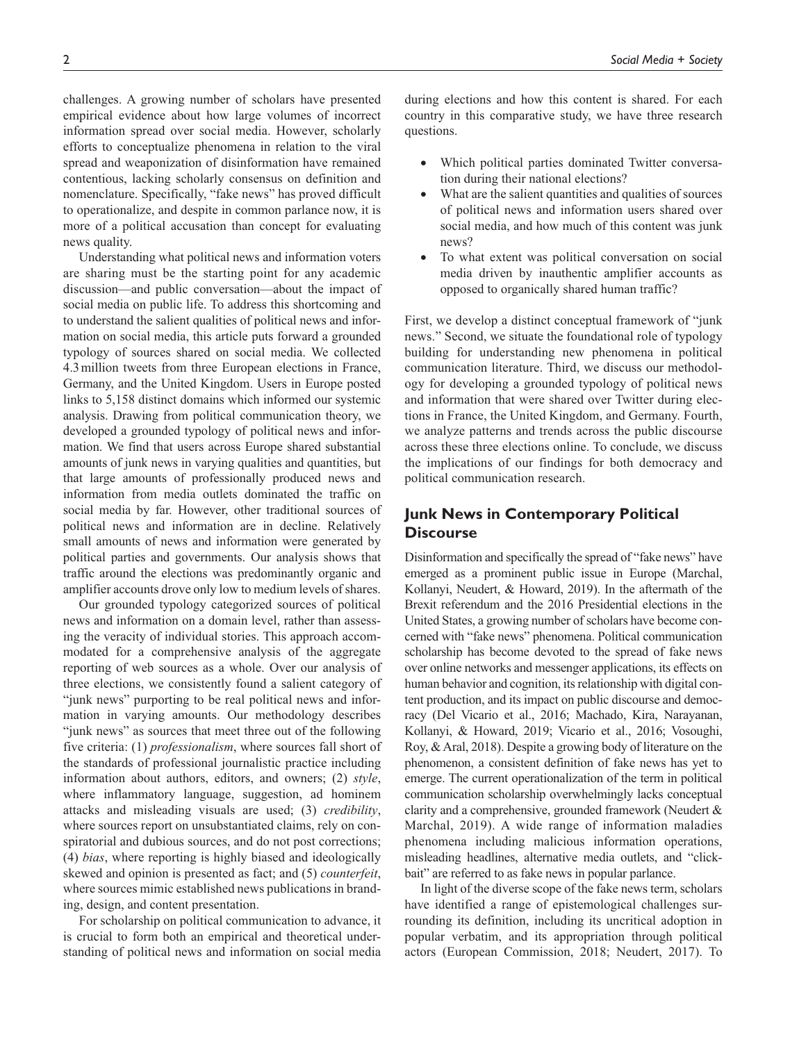challenges. A growing number of scholars have presented empirical evidence about how large volumes of incorrect information spread over social media. However, scholarly efforts to conceptualize phenomena in relation to the viral spread and weaponization of disinformation have remained contentious, lacking scholarly consensus on definition and nomenclature. Specifically, "fake news" has proved difficult to operationalize, and despite in common parlance now, it is more of a political accusation than concept for evaluating news quality.

Understanding what political news and information voters are sharing must be the starting point for any academic discussion—and public conversation—about the impact of social media on public life. To address this shortcoming and to understand the salient qualities of political news and information on social media, this article puts forward a grounded typology of sources shared on social media. We collected 4.3million tweets from three European elections in France, Germany, and the United Kingdom. Users in Europe posted links to 5,158 distinct domains which informed our systemic analysis. Drawing from political communication theory, we developed a grounded typology of political news and information. We find that users across Europe shared substantial amounts of junk news in varying qualities and quantities, but that large amounts of professionally produced news and information from media outlets dominated the traffic on social media by far. However, other traditional sources of political news and information are in decline. Relatively small amounts of news and information were generated by political parties and governments. Our analysis shows that traffic around the elections was predominantly organic and amplifier accounts drove only low to medium levels of shares.

Our grounded typology categorized sources of political news and information on a domain level, rather than assessing the veracity of individual stories. This approach accommodated for a comprehensive analysis of the aggregate reporting of web sources as a whole. Over our analysis of three elections, we consistently found a salient category of "junk news" purporting to be real political news and information in varying amounts. Our methodology describes "junk news" as sources that meet three out of the following five criteria: (1) *professionalism*, where sources fall short of the standards of professional journalistic practice including information about authors, editors, and owners; (2) *style*, where inflammatory language, suggestion, ad hominem attacks and misleading visuals are used; (3) *credibility*, where sources report on unsubstantiated claims, rely on conspiratorial and dubious sources, and do not post corrections; (4) *bias*, where reporting is highly biased and ideologically skewed and opinion is presented as fact; and (5) *counterfeit*, where sources mimic established news publications in branding, design, and content presentation.

For scholarship on political communication to advance, it is crucial to form both an empirical and theoretical understanding of political news and information on social media

during elections and how this content is shared. For each country in this comparative study, we have three research questions.

- Which political parties dominated Twitter conversation during their national elections?
- What are the salient quantities and qualities of sources of political news and information users shared over social media, and how much of this content was junk news?
- To what extent was political conversation on social media driven by inauthentic amplifier accounts as opposed to organically shared human traffic?

First, we develop a distinct conceptual framework of "junk news." Second, we situate the foundational role of typology building for understanding new phenomena in political communication literature. Third, we discuss our methodology for developing a grounded typology of political news and information that were shared over Twitter during elections in France, the United Kingdom, and Germany. Fourth, we analyze patterns and trends across the public discourse across these three elections online. To conclude, we discuss the implications of our findings for both democracy and political communication research.

# **Junk News in Contemporary Political Discourse**

Disinformation and specifically the spread of "fake news" have emerged as a prominent public issue in Europe (Marchal, Kollanyi, Neudert, & Howard, 2019). In the aftermath of the Brexit referendum and the 2016 Presidential elections in the United States, a growing number of scholars have become concerned with "fake news" phenomena. Political communication scholarship has become devoted to the spread of fake news over online networks and messenger applications, its effects on human behavior and cognition, its relationship with digital content production, and its impact on public discourse and democracy (Del Vicario et al., 2016; Machado, Kira, Narayanan, Kollanyi, & Howard, 2019; Vicario et al., 2016; Vosoughi, Roy, & Aral, 2018). Despite a growing body of literature on the phenomenon, a consistent definition of fake news has yet to emerge. The current operationalization of the term in political communication scholarship overwhelmingly lacks conceptual clarity and a comprehensive, grounded framework (Neudert & Marchal, 2019). A wide range of information maladies phenomena including malicious information operations, misleading headlines, alternative media outlets, and "clickbait" are referred to as fake news in popular parlance.

In light of the diverse scope of the fake news term, scholars have identified a range of epistemological challenges surrounding its definition, including its uncritical adoption in popular verbatim, and its appropriation through political actors (European Commission, 2018; Neudert, 2017). To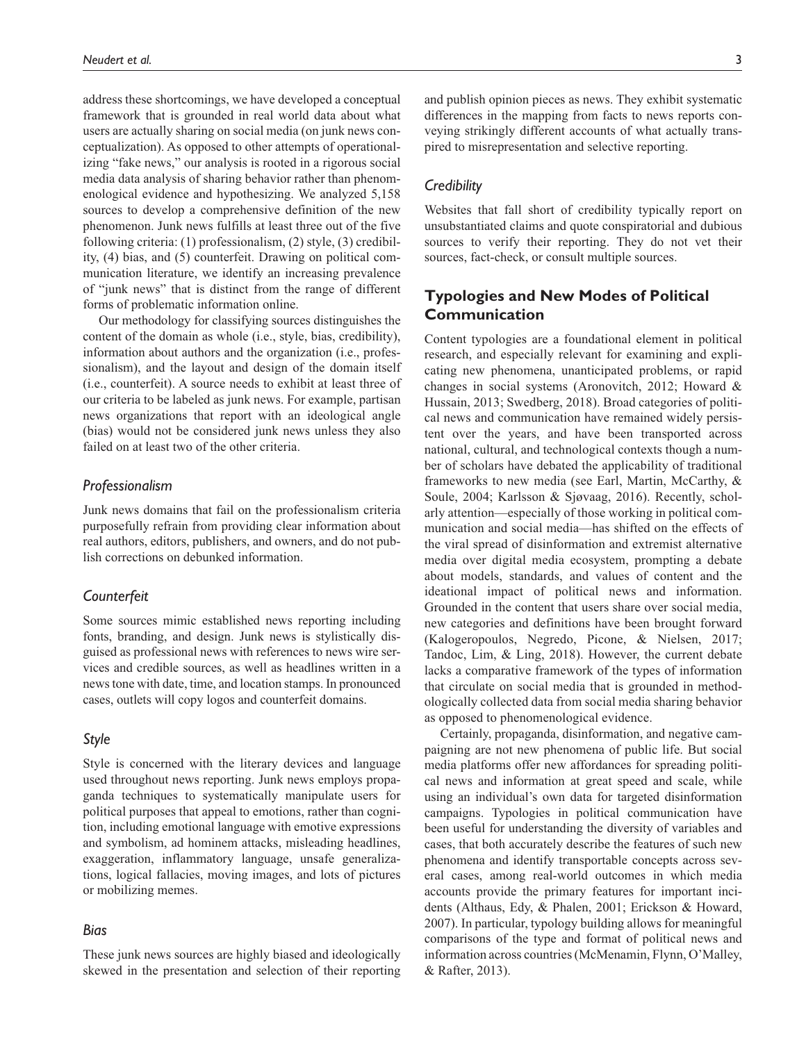address these shortcomings, we have developed a conceptual framework that is grounded in real world data about what users are actually sharing on social media (on junk news conceptualization). As opposed to other attempts of operationalizing "fake news," our analysis is rooted in a rigorous social media data analysis of sharing behavior rather than phenomenological evidence and hypothesizing. We analyzed 5,158 sources to develop a comprehensive definition of the new phenomenon. Junk news fulfills at least three out of the five following criteria: (1) professionalism, (2) style, (3) credibility, (4) bias, and (5) counterfeit. Drawing on political communication literature, we identify an increasing prevalence of "junk news" that is distinct from the range of different forms of problematic information online.

Our methodology for classifying sources distinguishes the content of the domain as whole (i.e., style, bias, credibility), information about authors and the organization (i.e., professionalism), and the layout and design of the domain itself (i.e., counterfeit). A source needs to exhibit at least three of our criteria to be labeled as junk news. For example, partisan news organizations that report with an ideological angle (bias) would not be considered junk news unless they also failed on at least two of the other criteria.

### *Professionalism*

Junk news domains that fail on the professionalism criteria purposefully refrain from providing clear information about real authors, editors, publishers, and owners, and do not publish corrections on debunked information.

### *Counterfeit*

Some sources mimic established news reporting including fonts, branding, and design. Junk news is stylistically disguised as professional news with references to news wire services and credible sources, as well as headlines written in a news tone with date, time, and location stamps. In pronounced cases, outlets will copy logos and counterfeit domains.

### *Style*

Style is concerned with the literary devices and language used throughout news reporting. Junk news employs propaganda techniques to systematically manipulate users for political purposes that appeal to emotions, rather than cognition, including emotional language with emotive expressions and symbolism, ad hominem attacks, misleading headlines, exaggeration, inflammatory language, unsafe generalizations, logical fallacies, moving images, and lots of pictures or mobilizing memes.

#### *Bias*

These junk news sources are highly biased and ideologically skewed in the presentation and selection of their reporting and publish opinion pieces as news. They exhibit systematic differences in the mapping from facts to news reports conveying strikingly different accounts of what actually transpired to misrepresentation and selective reporting.

### *Credibility*

Websites that fall short of credibility typically report on unsubstantiated claims and quote conspiratorial and dubious sources to verify their reporting. They do not vet their sources, fact-check, or consult multiple sources.

# **Typologies and New Modes of Political Communication**

Content typologies are a foundational element in political research, and especially relevant for examining and explicating new phenomena, unanticipated problems, or rapid changes in social systems (Aronovitch, 2012; Howard & Hussain, 2013; Swedberg, 2018). Broad categories of political news and communication have remained widely persistent over the years, and have been transported across national, cultural, and technological contexts though a number of scholars have debated the applicability of traditional frameworks to new media (see Earl, Martin, McCarthy, & Soule, 2004; Karlsson & Sjøvaag, 2016). Recently, scholarly attention—especially of those working in political communication and social media—has shifted on the effects of the viral spread of disinformation and extremist alternative media over digital media ecosystem, prompting a debate about models, standards, and values of content and the ideational impact of political news and information. Grounded in the content that users share over social media, new categories and definitions have been brought forward (Kalogeropoulos, Negredo, Picone, & Nielsen, 2017; Tandoc, Lim, & Ling, 2018). However, the current debate lacks a comparative framework of the types of information that circulate on social media that is grounded in methodologically collected data from social media sharing behavior as opposed to phenomenological evidence.

Certainly, propaganda, disinformation, and negative campaigning are not new phenomena of public life. But social media platforms offer new affordances for spreading political news and information at great speed and scale, while using an individual's own data for targeted disinformation campaigns. Typologies in political communication have been useful for understanding the diversity of variables and cases, that both accurately describe the features of such new phenomena and identify transportable concepts across several cases, among real-world outcomes in which media accounts provide the primary features for important incidents (Althaus, Edy, & Phalen, 2001; Erickson & Howard, 2007). In particular, typology building allows for meaningful comparisons of the type and format of political news and information across countries (McMenamin, Flynn, O'Malley, & Rafter, 2013).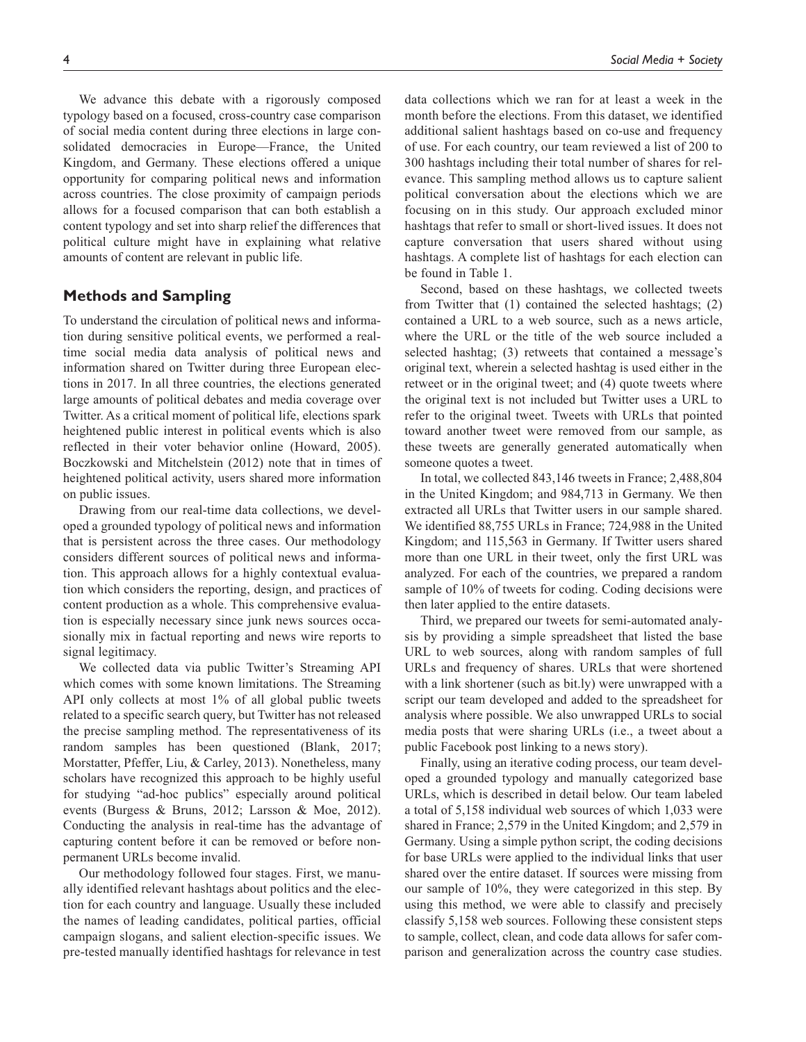We advance this debate with a rigorously composed typology based on a focused, cross-country case comparison of social media content during three elections in large consolidated democracies in Europe—France, the United Kingdom, and Germany. These elections offered a unique opportunity for comparing political news and information across countries. The close proximity of campaign periods allows for a focused comparison that can both establish a content typology and set into sharp relief the differences that political culture might have in explaining what relative amounts of content are relevant in public life.

### **Methods and Sampling**

To understand the circulation of political news and information during sensitive political events, we performed a realtime social media data analysis of political news and information shared on Twitter during three European elections in 2017. In all three countries, the elections generated large amounts of political debates and media coverage over Twitter. As a critical moment of political life, elections spark heightened public interest in political events which is also reflected in their voter behavior online (Howard, 2005). Boczkowski and Mitchelstein (2012) note that in times of heightened political activity, users shared more information on public issues.

Drawing from our real-time data collections, we developed a grounded typology of political news and information that is persistent across the three cases. Our methodology considers different sources of political news and information. This approach allows for a highly contextual evaluation which considers the reporting, design, and practices of content production as a whole. This comprehensive evaluation is especially necessary since junk news sources occasionally mix in factual reporting and news wire reports to signal legitimacy.

We collected data via public Twitter's Streaming API which comes with some known limitations. The Streaming API only collects at most 1% of all global public tweets related to a specific search query, but Twitter has not released the precise sampling method. The representativeness of its random samples has been questioned (Blank, 2017; Morstatter, Pfeffer, Liu, & Carley, 2013). Nonetheless, many scholars have recognized this approach to be highly useful for studying "ad-hoc publics" especially around political events (Burgess & Bruns, 2012; Larsson & Moe, 2012). Conducting the analysis in real-time has the advantage of capturing content before it can be removed or before nonpermanent URLs become invalid.

Our methodology followed four stages. First, we manually identified relevant hashtags about politics and the election for each country and language. Usually these included the names of leading candidates, political parties, official campaign slogans, and salient election-specific issues. We pre-tested manually identified hashtags for relevance in test

data collections which we ran for at least a week in the month before the elections. From this dataset, we identified additional salient hashtags based on co-use and frequency of use. For each country, our team reviewed a list of 200 to 300 hashtags including their total number of shares for relevance. This sampling method allows us to capture salient political conversation about the elections which we are focusing on in this study. Our approach excluded minor hashtags that refer to small or short-lived issues. It does not

be found in Table 1. Second, based on these hashtags, we collected tweets from Twitter that (1) contained the selected hashtags; (2) contained a URL to a web source, such as a news article, where the URL or the title of the web source included a selected hashtag; (3) retweets that contained a message's original text, wherein a selected hashtag is used either in the retweet or in the original tweet; and (4) quote tweets where the original text is not included but Twitter uses a URL to refer to the original tweet. Tweets with URLs that pointed toward another tweet were removed from our sample, as these tweets are generally generated automatically when someone quotes a tweet.

capture conversation that users shared without using hashtags. A complete list of hashtags for each election can

In total, we collected 843,146 tweets in France; 2,488,804 in the United Kingdom; and 984,713 in Germany. We then extracted all URLs that Twitter users in our sample shared. We identified 88,755 URLs in France; 724,988 in the United Kingdom; and 115,563 in Germany. If Twitter users shared more than one URL in their tweet, only the first URL was analyzed. For each of the countries, we prepared a random sample of 10% of tweets for coding. Coding decisions were then later applied to the entire datasets.

Third, we prepared our tweets for semi-automated analysis by providing a simple spreadsheet that listed the base URL to web sources, along with random samples of full URLs and frequency of shares. URLs that were shortened with a link shortener (such as bit.ly) were unwrapped with a script our team developed and added to the spreadsheet for analysis where possible. We also unwrapped URLs to social media posts that were sharing URLs (i.e., a tweet about a public Facebook post linking to a news story).

Finally, using an iterative coding process, our team developed a grounded typology and manually categorized base URLs, which is described in detail below. Our team labeled a total of 5,158 individual web sources of which 1,033 were shared in France; 2,579 in the United Kingdom; and 2,579 in Germany. Using a simple python script, the coding decisions for base URLs were applied to the individual links that user shared over the entire dataset. If sources were missing from our sample of 10%, they were categorized in this step. By using this method, we were able to classify and precisely classify 5,158 web sources. Following these consistent steps to sample, collect, clean, and code data allows for safer comparison and generalization across the country case studies.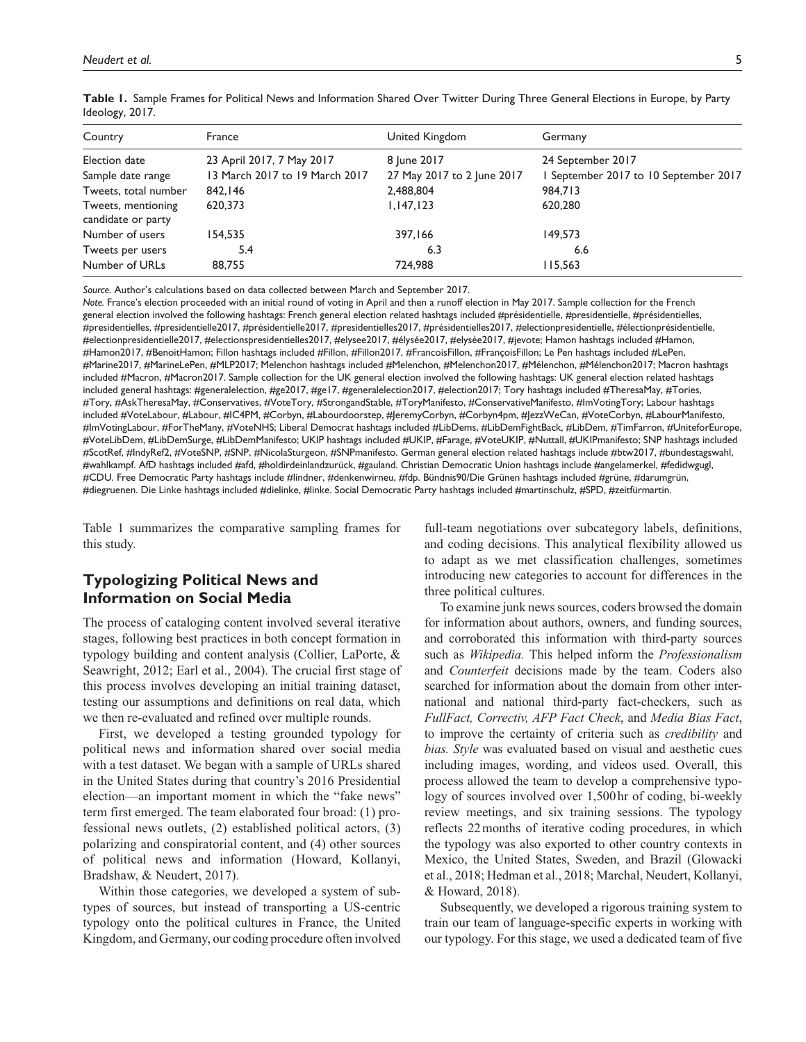| Country                                  | France                         | United Kingdom             | Germany                             |
|------------------------------------------|--------------------------------|----------------------------|-------------------------------------|
| Election date                            | 23 April 2017, 7 May 2017      | 8 June 2017                | 24 September 2017                   |
| Sample date range                        | 13 March 2017 to 19 March 2017 | 27 May 2017 to 2 June 2017 | September 2017 to 10 September 2017 |
| Tweets, total number                     | 842,146                        | 2,488,804                  | 984.713                             |
| Tweets, mentioning<br>candidate or party | 620,373                        | 1,147,123                  | 620,280                             |
| Number of users                          | 154.535                        | 397.166                    | 149.573                             |
| Tweets per users                         | 5.4                            | 6.3                        | 6.6                                 |
| Number of URLs                           | 88,755                         | 724,988                    | 115,563                             |

**Table 1.** Sample Frames for Political News and Information Shared Over Twitter During Three General Elections in Europe, by Party Ideology, 2017.

*Source.* Author's calculations based on data collected between March and September 2017.

*Note.* France's election proceeded with an initial round of voting in April and then a runoff election in May 2017. Sample collection for the French general election involved the following hashtags: French general election related hashtags included #présidentielle, #presidentielle, #présidentielles, #presidentielles, #presidentielle2017, #présidentielle2017, #presidentielles2017, #présidentielles2017, #electionpresidentielle, #électionprésidentielle, #electionpresidentielle2017, #electionspresidentielles2017, #elysee2017, #élysée2017, #elysée2017, #jevote; Hamon hashtags included #Hamon, #Hamon2017, #BenoitHamon; Fillon hashtags included #Fillon, #Fillon2017, #FrancoisFillon, #FrançoisFillon; Le Pen hashtags included #LePen, #Marine2017, #MarineLePen, #MLP2017; Melenchon hashtags included #Melenchon, #Melenchon2017, #Mélenchon, #Mélenchon2017; Macron hashtags included #Macron, #Macron2017. Sample collection for the UK general election involved the following hashtags: UK general election related hashtags included general hashtags: #generalelection, #ge2017, #ge17, #generalelection2017, #election2017; Tory hashtags included #TheresaMay, #Tories, #Tory, #AskTheresaMay, #Conservatives, #VoteTory, #StrongandStable, #ToryManifesto, #ConservativeManifesto, #ImVotingTory; Labour hashtags included #VoteLabour, #Labour, #IC4PM, #Corbyn, #Labourdoorstep, #JeremyCorbyn, #Corbyn4pm, #JezzWeCan, #VoteCorbyn, #LabourManifesto, #ImVotingLabour, #ForTheMany, #VoteNHS; Liberal Democrat hashtags included #LibDems, #LibDemFightBack, #LibDem, #TimFarron, #UniteforEurope, #VoteLibDem, #LibDemSurge, #LibDemManifesto; UKIP hashtags included #UKIP, #Farage, #VoteUKIP, #Nuttall, #UKIPmanifesto; SNP hashtags included #ScotRef, #IndyRef2, #VoteSNP, #SNP, #NicolaSturgeon, #SNPmanifesto. German general election related hashtags include #btw2017, #bundestagswahl, #wahlkampf. AfD hashtags included #afd, #holdirdeinlandzurück, #gauland. Christian Democratic Union hashtags include #angelamerkel, #fedidwgugl, #CDU. Free Democratic Party hashtags include #lindner, #denkenwirneu, #fdp. Bündnis90/Die Grünen hashtags included #grüne, #darumgrün, #diegruenen. Die Linke hashtags included #dielinke, #linke. Social Democratic Party hashtags included #martinschulz, #SPD, #zeitfürmartin.

Table 1 summarizes the comparative sampling frames for this study.

# **Typologizing Political News and Information on Social Media**

The process of cataloging content involved several iterative stages, following best practices in both concept formation in typology building and content analysis (Collier, LaPorte, & Seawright, 2012; Earl et al., 2004). The crucial first stage of this process involves developing an initial training dataset, testing our assumptions and definitions on real data, which we then re-evaluated and refined over multiple rounds.

First, we developed a testing grounded typology for political news and information shared over social media with a test dataset. We began with a sample of URLs shared in the United States during that country's 2016 Presidential election—an important moment in which the "fake news" term first emerged. The team elaborated four broad: (1) professional news outlets, (2) established political actors, (3) polarizing and conspiratorial content, and (4) other sources of political news and information (Howard, Kollanyi, Bradshaw, & Neudert, 2017).

Within those categories, we developed a system of subtypes of sources, but instead of transporting a US-centric typology onto the political cultures in France, the United Kingdom, and Germany, our coding procedure often involved

full-team negotiations over subcategory labels, definitions, and coding decisions. This analytical flexibility allowed us to adapt as we met classification challenges, sometimes introducing new categories to account for differences in the three political cultures.

To examine junk news sources, coders browsed the domain for information about authors, owners, and funding sources, and corroborated this information with third-party sources such as *Wikipedia.* This helped inform the *Professionalism* and *Counterfeit* decisions made by the team. Coders also searched for information about the domain from other international and national third-party fact-checkers, such as *FullFact, Correctiv, AFP Fact Check*, and *Media Bias Fact*, to improve the certainty of criteria such as *credibility* and *bias. Style* was evaluated based on visual and aesthetic cues including images, wording, and videos used. Overall, this process allowed the team to develop a comprehensive typology of sources involved over 1,500hr of coding, bi-weekly review meetings, and six training sessions. The typology reflects 22months of iterative coding procedures, in which the typology was also exported to other country contexts in Mexico, the United States, Sweden, and Brazil (Glowacki et al., 2018; Hedman et al., 2018; Marchal, Neudert, Kollanyi, & Howard, 2018).

Subsequently, we developed a rigorous training system to train our team of language-specific experts in working with our typology. For this stage, we used a dedicated team of five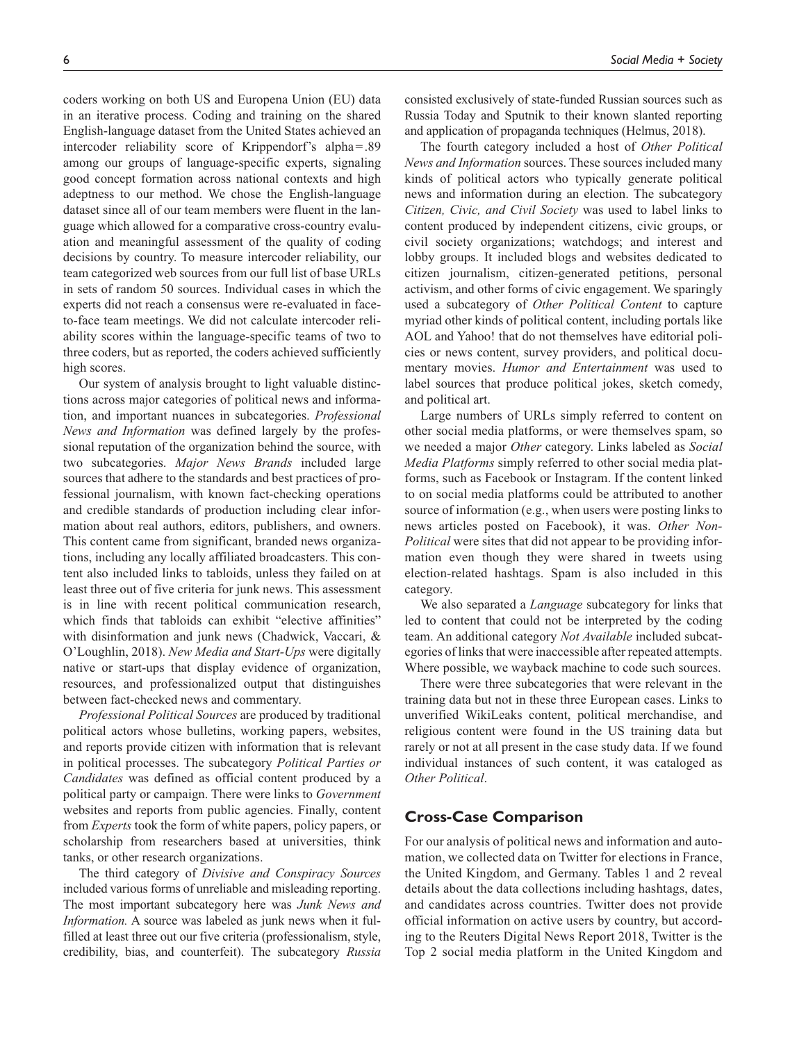coders working on both US and Europena Union (EU) data in an iterative process. Coding and training on the shared English-language dataset from the United States achieved an intercoder reliability score of Krippendorf's alpha=.89 among our groups of language-specific experts, signaling good concept formation across national contexts and high adeptness to our method. We chose the English-language dataset since all of our team members were fluent in the language which allowed for a comparative cross-country evaluation and meaningful assessment of the quality of coding decisions by country. To measure intercoder reliability, our team categorized web sources from our full list of base URLs in sets of random 50 sources. Individual cases in which the experts did not reach a consensus were re-evaluated in faceto-face team meetings. We did not calculate intercoder reliability scores within the language-specific teams of two to three coders, but as reported, the coders achieved sufficiently high scores.

Our system of analysis brought to light valuable distinctions across major categories of political news and information, and important nuances in subcategories. *Professional News and Information* was defined largely by the professional reputation of the organization behind the source, with two subcategories. *Major News Brands* included large sources that adhere to the standards and best practices of professional journalism, with known fact-checking operations and credible standards of production including clear information about real authors, editors, publishers, and owners. This content came from significant, branded news organizations, including any locally affiliated broadcasters. This content also included links to tabloids, unless they failed on at least three out of five criteria for junk news. This assessment is in line with recent political communication research, which finds that tabloids can exhibit "elective affinities" with disinformation and junk news (Chadwick, Vaccari, & O'Loughlin, 2018). *New Media and Start-Ups* were digitally native or start-ups that display evidence of organization, resources, and professionalized output that distinguishes between fact-checked news and commentary.

*Professional Political Sources* are produced by traditional political actors whose bulletins, working papers, websites, and reports provide citizen with information that is relevant in political processes. The subcategory *Political Parties or Candidates* was defined as official content produced by a political party or campaign. There were links to *Government* websites and reports from public agencies. Finally, content from *Experts* took the form of white papers, policy papers, or scholarship from researchers based at universities, think tanks, or other research organizations.

The third category of *Divisive and Conspiracy Sources* included various forms of unreliable and misleading reporting. The most important subcategory here was *Junk News and Information*. A source was labeled as junk news when it fulfilled at least three out our five criteria (professionalism, style, credibility, bias, and counterfeit). The subcategory *Russia*

consisted exclusively of state-funded Russian sources such as Russia Today and Sputnik to their known slanted reporting and application of propaganda techniques (Helmus, 2018).

The fourth category included a host of *Other Political News and Information* sources. These sources included many kinds of political actors who typically generate political news and information during an election. The subcategory *Citizen, Civic, and Civil Society* was used to label links to content produced by independent citizens, civic groups, or civil society organizations; watchdogs; and interest and lobby groups. It included blogs and websites dedicated to citizen journalism, citizen-generated petitions, personal activism, and other forms of civic engagement. We sparingly used a subcategory of *Other Political Content* to capture myriad other kinds of political content, including portals like AOL and Yahoo! that do not themselves have editorial policies or news content, survey providers, and political documentary movies. *Humor and Entertainment* was used to label sources that produce political jokes, sketch comedy, and political art.

Large numbers of URLs simply referred to content on other social media platforms, or were themselves spam, so we needed a major *Other* category. Links labeled as *Social Media Platforms* simply referred to other social media platforms, such as Facebook or Instagram. If the content linked to on social media platforms could be attributed to another source of information (e.g., when users were posting links to news articles posted on Facebook), it was. *Other Non-Political* were sites that did not appear to be providing information even though they were shared in tweets using election-related hashtags. Spam is also included in this category.

We also separated a *Language* subcategory for links that led to content that could not be interpreted by the coding team. An additional category *Not Available* included subcategories of links that were inaccessible after repeated attempts. Where possible, we wayback machine to code such sources.

There were three subcategories that were relevant in the training data but not in these three European cases. Links to unverified WikiLeaks content, political merchandise, and religious content were found in the US training data but rarely or not at all present in the case study data. If we found individual instances of such content, it was cataloged as *Other Political*.

## **Cross-Case Comparison**

For our analysis of political news and information and automation, we collected data on Twitter for elections in France, the United Kingdom, and Germany. Tables 1 and 2 reveal details about the data collections including hashtags, dates, and candidates across countries. Twitter does not provide official information on active users by country, but according to the Reuters Digital News Report 2018, Twitter is the Top 2 social media platform in the United Kingdom and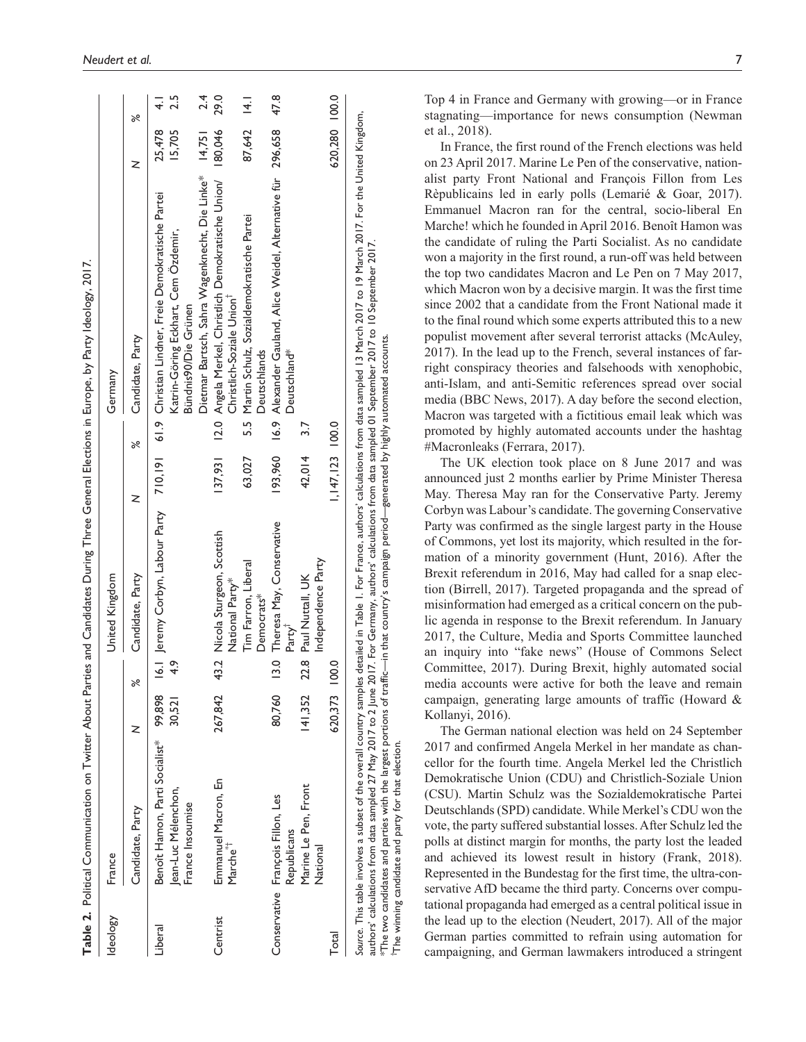| <b>Ideology</b> | France                                                                                                                                                           |         |               | United Kingdom                                    |                   |     | Germany                                                                         |              |                                                                                                                                                                                                                       |
|-----------------|------------------------------------------------------------------------------------------------------------------------------------------------------------------|---------|---------------|---------------------------------------------------|-------------------|-----|---------------------------------------------------------------------------------|--------------|-----------------------------------------------------------------------------------------------------------------------------------------------------------------------------------------------------------------------|
|                 |                                                                                                                                                                  |         |               |                                                   |                   |     |                                                                                 |              |                                                                                                                                                                                                                       |
|                 | Candidate, Party                                                                                                                                                 |         | òX            | Candidate, Party                                  | z                 | ৯ৎ  | Candidate, Party                                                                | z            | $\aleph$                                                                                                                                                                                                              |
| Liberal         | Benoît Hamon, Parti Socialist*                                                                                                                                   | 99,898  |               | 16.1 Jeremy Corbyn, Labour Party                  | 710, 191          |     | 61.9 Christian Lindner, Freie Demokratische Partei                              | 25,478       | $\frac{1}{4}$                                                                                                                                                                                                         |
|                 | Jean-Luc Mélenchon,<br>France Insoumise                                                                                                                          | 30,521  | $\frac{4}{3}$ |                                                   |                   |     | Katrin-Göring Eckhart, Cem Ozdemir,<br>Bündnis90/Die Grünen                     | 15,705       |                                                                                                                                                                                                                       |
|                 |                                                                                                                                                                  |         |               |                                                   |                   |     | Dietmar Bartsch, Sahra Wagenknecht, Die Linke*                                  | 14,751       | 2.4                                                                                                                                                                                                                   |
| Centrist        | Emmanuel Macron, En<br>Marche <sup>4</sup>                                                                                                                       | 267,842 |               | 43.2 Nicola Sturgeon, Scottish<br>National Party* | 137,931           |     | 12.0 Angela Merkel, Christlich Demokratische Union/<br>Christlich-Soziale Union | 180,046      | 29.0                                                                                                                                                                                                                  |
|                 |                                                                                                                                                                  |         |               | Tim Farron, Liberal<br>Democrats*                 | 63,027            |     | 5.5 Martin Schulz, Sozialdemokratische Partei<br>Deutschlands                   | 87,642   4.1 |                                                                                                                                                                                                                       |
|                 | Conservative François Fillon, Les<br>Republicans                                                                                                                 | 80,760  |               | 13.0 Theresa May, Conservative<br>Party'          | 193.960           |     | 16.9 Alexander Gauland, Alice Weidel, Alternative für 296,658<br>Deutschland*   |              | 47.8                                                                                                                                                                                                                  |
|                 | Marine Le Pen, Front<br>National                                                                                                                                 | 141,352 |               | Independence Party<br>22.8 Paul Nuttall, UK       | 42,014            | 3.7 |                                                                                 |              |                                                                                                                                                                                                                       |
| <b>Total</b>    |                                                                                                                                                                  | 620,373 | 0.001         |                                                   | $1,147,123$ 100.0 |     |                                                                                 |              |                                                                                                                                                                                                                       |
|                 | authors' calculations from data sampled 27 May 2017 to 2 June 2017. For Germany, authors' calculations from data sampled 01 September 2017 to 10 September 2017. |         |               |                                                   |                   |     |                                                                                 |              | 620,280 100.0<br>Source. This table involves a subset of the overall country samples detailed in Table I. For France, authors' calculations from data sampled 13 March 2017 to 19 March 2017. For the United Kingdom, |

\*The two candidates and parties with the largest portions of traffic—in that country's campaign period—generated by highly automated accounts.

\*The two candidates and parties with the largest portions of traffic—in that country's campaign period—generated by highly automated accounts.<br><sup>T</sup>The winning candidate and party for that election.

†The winning candidate and party for that election.

Top 4 in France and Germany with growing—or in France stagnating—importance for news consumption (Newman et al., 2018). In France, the first round of the French elections was held

on 23 April 2017. Marine Le Pen of the conservative, nationalist party Front National and François Fillon from Les Rèpublicains led in early polls (Lemarié & Goar, 2017). Emmanuel Macron ran for the central, socio-liberal En Marche! which he founded in April 2016. Benoît Hamon was the candidate of ruling the Parti Socialist. As no candidate won a majority in the first round, a run-off was held between the top two candidates Macron and Le Pen on 7 May 2017, which Macron won by a decisive margin. It was the first time since 2002 that a candidate from the Front National made it to the final round which some experts attributed this to a new populist movement after several terrorist attacks (McAuley, 2017). In the lead up to the French, several instances of farright conspiracy theories and falsehoods with xenophobic, anti-Islam, and anti-Semitic references spread over social media (BBC News, 2017). A day before the second election, Macron was targeted with a fictitious email leak which was promoted by highly automated accounts under the hashtag #Macronleaks (Ferrara, 2017).

The UK election took place on 8 June 2017 and was announced just 2 months earlier by Prime Minister Theresa May. Theresa May ran for the Conservative Party. Jeremy Corbyn was Labour's candidate. The governing Conservative Party was confirmed as the single largest party in the House of Commons, yet lost its majority, which resulted in the formation of a minority government (Hunt, 2016). After the Brexit referendum in 2016, May had called for a snap election (Birrell, 2017). Targeted propaganda and the spread of misinformation had emerged as a critical concern on the public agenda in response to the Brexit referendum. In January 2017, the Culture, Media and Sports Committee launched an inquiry into "fake news" (House of Commons Select Committee, 2017). During Brexit, highly automated social media accounts were active for both the leave and remain campaign, generating large amounts of traffic (Howard & Kollanyi, 2016).

The German national election was held on 24 September 2017 and confirmed Angela Merkel in her mandate as chancellor for the fourth time. Angela Merkel led the Christlich Demokratische Union (CDU) and Christlich-Soziale Union (CSU). Martin Schulz was the Sozialdemokratische Partei Deutschlands (SPD) candidate. While Merkel's CDU won the vote, the party suffered substantial losses. After Schulz led the polls at distinct margin for months, the party lost the leaded and achieved its lowest result in history (Frank, 2018). Represented in the Bundestag for the first time, the ultra-conservative AfD became the third party. Concerns over computational propaganda had emerged as a central political issue in the lead up to the election (Neudert, 2017). All of the major German parties committed to refrain using automation for campaigning, and German lawmakers introduced a stringent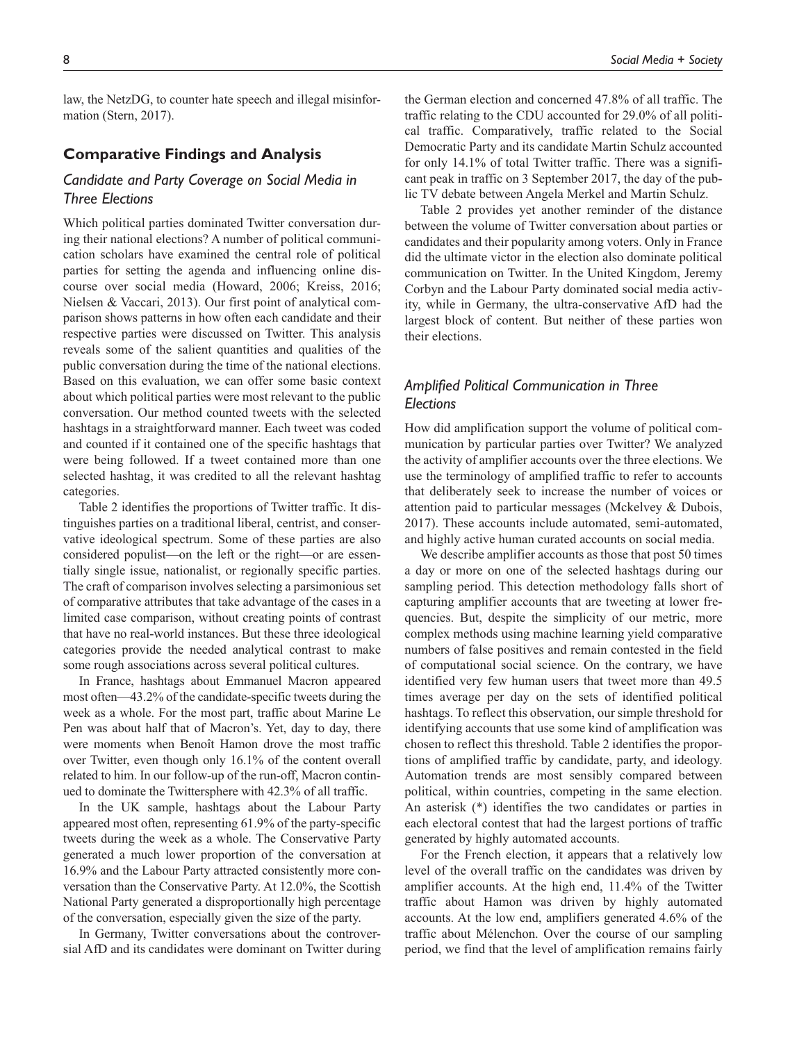law, the NetzDG, to counter hate speech and illegal misinformation (Stern, 2017).

### **Comparative Findings and Analysis**

## *Candidate and Party Coverage on Social Media in Three Elections*

Which political parties dominated Twitter conversation during their national elections? A number of political communication scholars have examined the central role of political parties for setting the agenda and influencing online discourse over social media (Howard, 2006; Kreiss, 2016; Nielsen & Vaccari, 2013). Our first point of analytical comparison shows patterns in how often each candidate and their respective parties were discussed on Twitter. This analysis reveals some of the salient quantities and qualities of the public conversation during the time of the national elections. Based on this evaluation, we can offer some basic context about which political parties were most relevant to the public conversation. Our method counted tweets with the selected hashtags in a straightforward manner. Each tweet was coded and counted if it contained one of the specific hashtags that were being followed. If a tweet contained more than one selected hashtag, it was credited to all the relevant hashtag categories.

Table 2 identifies the proportions of Twitter traffic. It distinguishes parties on a traditional liberal, centrist, and conservative ideological spectrum. Some of these parties are also considered populist—on the left or the right—or are essentially single issue, nationalist, or regionally specific parties. The craft of comparison involves selecting a parsimonious set of comparative attributes that take advantage of the cases in a limited case comparison, without creating points of contrast that have no real-world instances. But these three ideological categories provide the needed analytical contrast to make some rough associations across several political cultures.

In France, hashtags about Emmanuel Macron appeared most often—43.2% of the candidate-specific tweets during the week as a whole. For the most part, traffic about Marine Le Pen was about half that of Macron's. Yet, day to day, there were moments when Benoît Hamon drove the most traffic over Twitter, even though only 16.1% of the content overall related to him. In our follow-up of the run-off, Macron continued to dominate the Twittersphere with 42.3% of all traffic.

In the UK sample, hashtags about the Labour Party appeared most often, representing 61.9% of the party-specific tweets during the week as a whole. The Conservative Party generated a much lower proportion of the conversation at 16.9% and the Labour Party attracted consistently more conversation than the Conservative Party. At 12.0%, the Scottish National Party generated a disproportionally high percentage of the conversation, especially given the size of the party.

In Germany, Twitter conversations about the controversial AfD and its candidates were dominant on Twitter during

the German election and concerned 47.8% of all traffic. The traffic relating to the CDU accounted for 29.0% of all political traffic. Comparatively, traffic related to the Social Democratic Party and its candidate Martin Schulz accounted for only 14.1% of total Twitter traffic. There was a significant peak in traffic on 3 September 2017, the day of the public TV debate between Angela Merkel and Martin Schulz.

Table 2 provides yet another reminder of the distance between the volume of Twitter conversation about parties or candidates and their popularity among voters. Only in France did the ultimate victor in the election also dominate political communication on Twitter. In the United Kingdom, Jeremy Corbyn and the Labour Party dominated social media activity, while in Germany, the ultra-conservative AfD had the largest block of content. But neither of these parties won their elections.

# *Amplified Political Communication in Three Elections*

How did amplification support the volume of political communication by particular parties over Twitter? We analyzed the activity of amplifier accounts over the three elections. We use the terminology of amplified traffic to refer to accounts that deliberately seek to increase the number of voices or attention paid to particular messages (Mckelvey & Dubois, 2017). These accounts include automated, semi-automated, and highly active human curated accounts on social media.

We describe amplifier accounts as those that post 50 times a day or more on one of the selected hashtags during our sampling period. This detection methodology falls short of capturing amplifier accounts that are tweeting at lower frequencies. But, despite the simplicity of our metric, more complex methods using machine learning yield comparative numbers of false positives and remain contested in the field of computational social science. On the contrary, we have identified very few human users that tweet more than 49.5 times average per day on the sets of identified political hashtags. To reflect this observation, our simple threshold for identifying accounts that use some kind of amplification was chosen to reflect this threshold. Table 2 identifies the proportions of amplified traffic by candidate, party, and ideology. Automation trends are most sensibly compared between political, within countries, competing in the same election. An asterisk (\*) identifies the two candidates or parties in each electoral contest that had the largest portions of traffic generated by highly automated accounts.

For the French election, it appears that a relatively low level of the overall traffic on the candidates was driven by amplifier accounts. At the high end, 11.4% of the Twitter traffic about Hamon was driven by highly automated accounts. At the low end, amplifiers generated 4.6% of the traffic about Mélenchon. Over the course of our sampling period, we find that the level of amplification remains fairly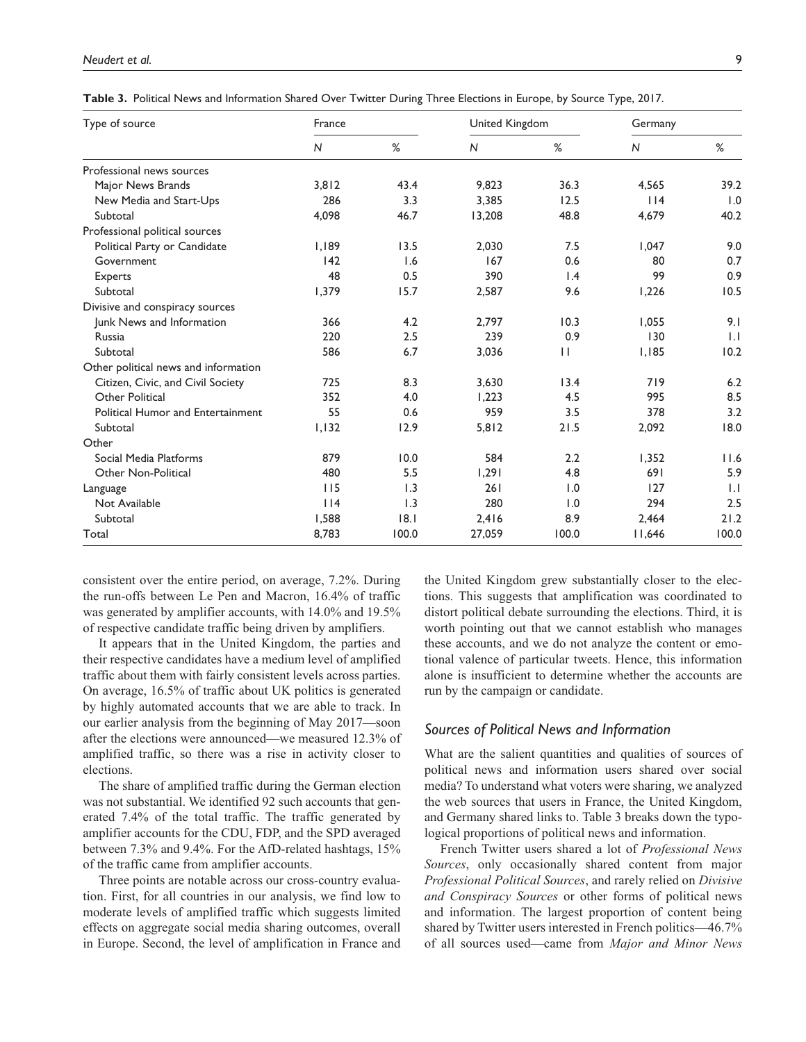| Type of source                           | France |       | United Kingdom |              | Germany      |                 |
|------------------------------------------|--------|-------|----------------|--------------|--------------|-----------------|
|                                          | N      | %     | $\mathsf{N}$   | %            | $\mathsf{N}$ | %               |
| Professional news sources                |        |       |                |              |              |                 |
| Major News Brands                        | 3,812  | 43.4  | 9,823          | 36.3         | 4,565        | 39.2            |
| New Media and Start-Ups                  | 286    | 3.3   | 3,385          | 12.5         | 114          | 1.0             |
| Subtotal                                 | 4,098  | 46.7  | 13,208         | 48.8         | 4,679        | 40.2            |
| Professional political sources           |        |       |                |              |              |                 |
| Political Party or Candidate             | 1,189  | 13.5  | 2,030          | 7.5          | 1,047        | 9.0             |
| Government                               | 142    | 1.6   | 167            | 0.6          | 80           | 0.7             |
| <b>Experts</b>                           | 48     | 0.5   | 390            | 1.4          | 99           | 0.9             |
| Subtotal                                 | 1,379  | 15.7  | 2,587          | 9.6          | 1,226        | 10.5            |
| Divisive and conspiracy sources          |        |       |                |              |              |                 |
| Junk News and Information                | 366    | 4.2   | 2.797          | 10.3         | 1.055        | 9.1             |
| Russia                                   | 220    | 2.5   | 239            | 0.9          | 130          | $\vert . \vert$ |
| Subtotal                                 | 586    | 6.7   | 3,036          | $\mathbf{H}$ | 1,185        | 10.2            |
| Other political news and information     |        |       |                |              |              |                 |
| Citizen, Civic, and Civil Society        | 725    | 8.3   | 3,630          | 13.4         | 719          | 6.2             |
| Other Political                          | 352    | 4.0   | 1,223          | 4.5          | 995          | 8.5             |
| <b>Political Humor and Entertainment</b> | 55     | 0.6   | 959            | 3.5          | 378          | 3.2             |
| Subtotal                                 | 1,132  | 12.9  | 5,812          | 21.5         | 2,092        | 18.0            |
| Other                                    |        |       |                |              |              |                 |
| Social Media Platforms                   | 879    | 10.0  | 584            | 2.2          | 1,352        | 11.6            |
| Other Non-Political                      | 480    | 5.5   | 1,291          | 4.8          | 691          | 5.9             |
| Language                                 | 115    | 1.3   | 261            | 1.0          | 127          | $\vert . \vert$ |
| Not Available                            | 114    | 1.3   | 280            | 1.0          | 294          | 2.5             |
| Subtotal                                 | 1,588  | 8.1   | 2,416          | 8.9          | 2,464        | 21.2            |
| Total                                    | 8,783  | 100.0 | 27,059         | 100.0        | 11,646       | 100.0           |

**Table 3.** Political News and Information Shared Over Twitter During Three Elections in Europe, by Source Type, 2017.

consistent over the entire period, on average, 7.2%. During the run-offs between Le Pen and Macron, 16.4% of traffic was generated by amplifier accounts, with 14.0% and 19.5% of respective candidate traffic being driven by amplifiers.

It appears that in the United Kingdom, the parties and their respective candidates have a medium level of amplified traffic about them with fairly consistent levels across parties. On average, 16.5% of traffic about UK politics is generated by highly automated accounts that we are able to track. In our earlier analysis from the beginning of May 2017—soon after the elections were announced—we measured 12.3% of amplified traffic, so there was a rise in activity closer to elections.

The share of amplified traffic during the German election was not substantial. We identified 92 such accounts that generated 7.4% of the total traffic. The traffic generated by amplifier accounts for the CDU, FDP, and the SPD averaged between 7.3% and 9.4%. For the AfD-related hashtags, 15% of the traffic came from amplifier accounts.

Three points are notable across our cross-country evaluation. First, for all countries in our analysis, we find low to moderate levels of amplified traffic which suggests limited effects on aggregate social media sharing outcomes, overall in Europe. Second, the level of amplification in France and

the United Kingdom grew substantially closer to the elections. This suggests that amplification was coordinated to distort political debate surrounding the elections. Third, it is worth pointing out that we cannot establish who manages these accounts, and we do not analyze the content or emotional valence of particular tweets. Hence, this information alone is insufficient to determine whether the accounts are run by the campaign or candidate.

#### *Sources of Political News and Information*

What are the salient quantities and qualities of sources of political news and information users shared over social media? To understand what voters were sharing, we analyzed the web sources that users in France, the United Kingdom, and Germany shared links to. Table 3 breaks down the typological proportions of political news and information.

French Twitter users shared a lot of *Professional News Sources*, only occasionally shared content from major *Professional Political Sources*, and rarely relied on *Divisive and Conspiracy Sources* or other forms of political news and information. The largest proportion of content being shared by Twitter users interested in French politics—46.7% of all sources used—came from *Major and Minor News*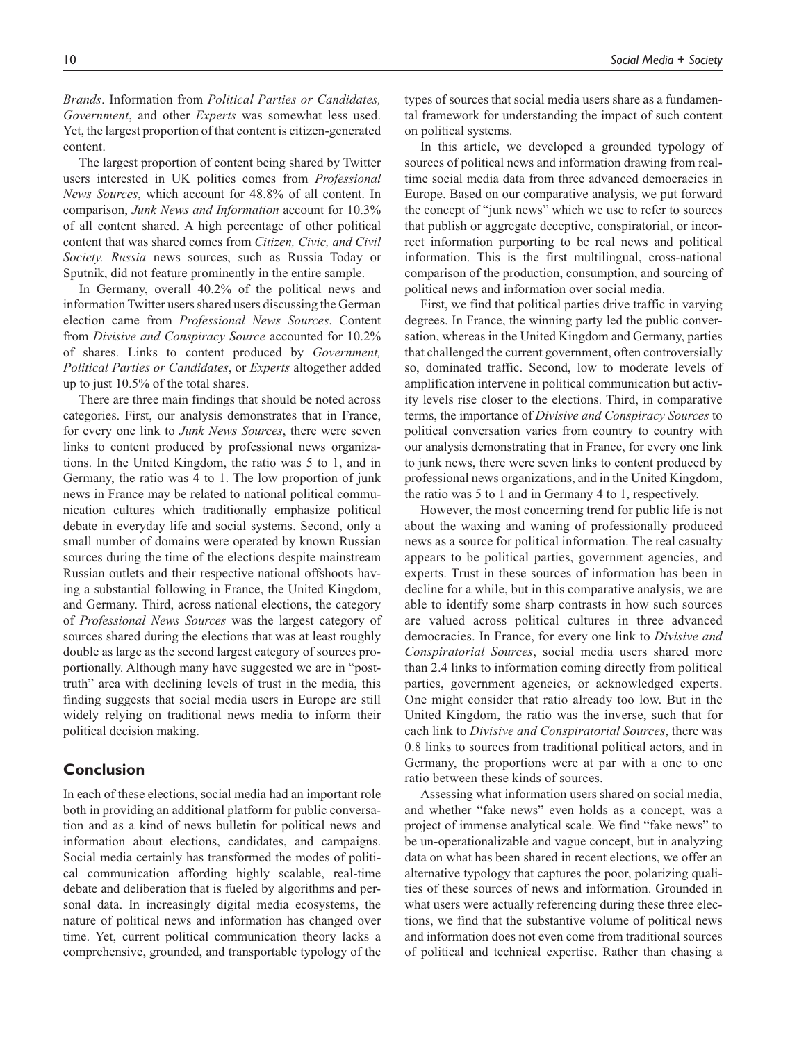*Brands*. Information from *Political Parties or Candidates, Government*, and other *Experts* was somewhat less used. Yet, the largest proportion of that content is citizen-generated content.

The largest proportion of content being shared by Twitter users interested in UK politics comes from *Professional News Sources*, which account for 48.8% of all content. In comparison, *Junk News and Information* account for 10.3% of all content shared. A high percentage of other political content that was shared comes from *Citizen, Civic, and Civil Society. Russia* news sources, such as Russia Today or Sputnik, did not feature prominently in the entire sample.

In Germany, overall 40.2% of the political news and information Twitter users shared users discussing the German election came from *Professional News Sources*. Content from *Divisive and Conspiracy Source* accounted for 10.2% of shares. Links to content produced by *Government, Political Parties or Candidates*, or *Experts* altogether added up to just 10.5% of the total shares.

There are three main findings that should be noted across categories. First, our analysis demonstrates that in France, for every one link to *Junk News Sources*, there were seven links to content produced by professional news organizations. In the United Kingdom, the ratio was 5 to 1, and in Germany, the ratio was 4 to 1. The low proportion of junk news in France may be related to national political communication cultures which traditionally emphasize political debate in everyday life and social systems. Second, only a small number of domains were operated by known Russian sources during the time of the elections despite mainstream Russian outlets and their respective national offshoots having a substantial following in France, the United Kingdom, and Germany. Third, across national elections, the category of *Professional News Sources* was the largest category of sources shared during the elections that was at least roughly double as large as the second largest category of sources proportionally. Although many have suggested we are in "posttruth" area with declining levels of trust in the media, this finding suggests that social media users in Europe are still widely relying on traditional news media to inform their political decision making.

## **Conclusion**

In each of these elections, social media had an important role both in providing an additional platform for public conversation and as a kind of news bulletin for political news and information about elections, candidates, and campaigns. Social media certainly has transformed the modes of political communication affording highly scalable, real-time debate and deliberation that is fueled by algorithms and personal data. In increasingly digital media ecosystems, the nature of political news and information has changed over time. Yet, current political communication theory lacks a comprehensive, grounded, and transportable typology of the

types of sources that social media users share as a fundamental framework for understanding the impact of such content on political systems.

In this article, we developed a grounded typology of sources of political news and information drawing from realtime social media data from three advanced democracies in Europe. Based on our comparative analysis, we put forward the concept of "junk news" which we use to refer to sources that publish or aggregate deceptive, conspiratorial, or incorrect information purporting to be real news and political information. This is the first multilingual, cross-national comparison of the production, consumption, and sourcing of political news and information over social media.

First, we find that political parties drive traffic in varying degrees. In France, the winning party led the public conversation, whereas in the United Kingdom and Germany, parties that challenged the current government, often controversially so, dominated traffic. Second, low to moderate levels of amplification intervene in political communication but activity levels rise closer to the elections. Third, in comparative terms, the importance of *Divisive and Conspiracy Sources* to political conversation varies from country to country with our analysis demonstrating that in France, for every one link to junk news, there were seven links to content produced by professional news organizations, and in the United Kingdom, the ratio was 5 to 1 and in Germany 4 to 1, respectively.

However, the most concerning trend for public life is not about the waxing and waning of professionally produced news as a source for political information. The real casualty appears to be political parties, government agencies, and experts. Trust in these sources of information has been in decline for a while, but in this comparative analysis, we are able to identify some sharp contrasts in how such sources are valued across political cultures in three advanced democracies. In France, for every one link to *Divisive and Conspiratorial Sources*, social media users shared more than 2.4 links to information coming directly from political parties, government agencies, or acknowledged experts. One might consider that ratio already too low. But in the United Kingdom, the ratio was the inverse, such that for each link to *Divisive and Conspiratorial Sources*, there was 0.8 links to sources from traditional political actors, and in Germany, the proportions were at par with a one to one ratio between these kinds of sources.

Assessing what information users shared on social media, and whether "fake news" even holds as a concept, was a project of immense analytical scale. We find "fake news" to be un-operationalizable and vague concept, but in analyzing data on what has been shared in recent elections, we offer an alternative typology that captures the poor, polarizing qualities of these sources of news and information. Grounded in what users were actually referencing during these three elections, we find that the substantive volume of political news and information does not even come from traditional sources of political and technical expertise. Rather than chasing a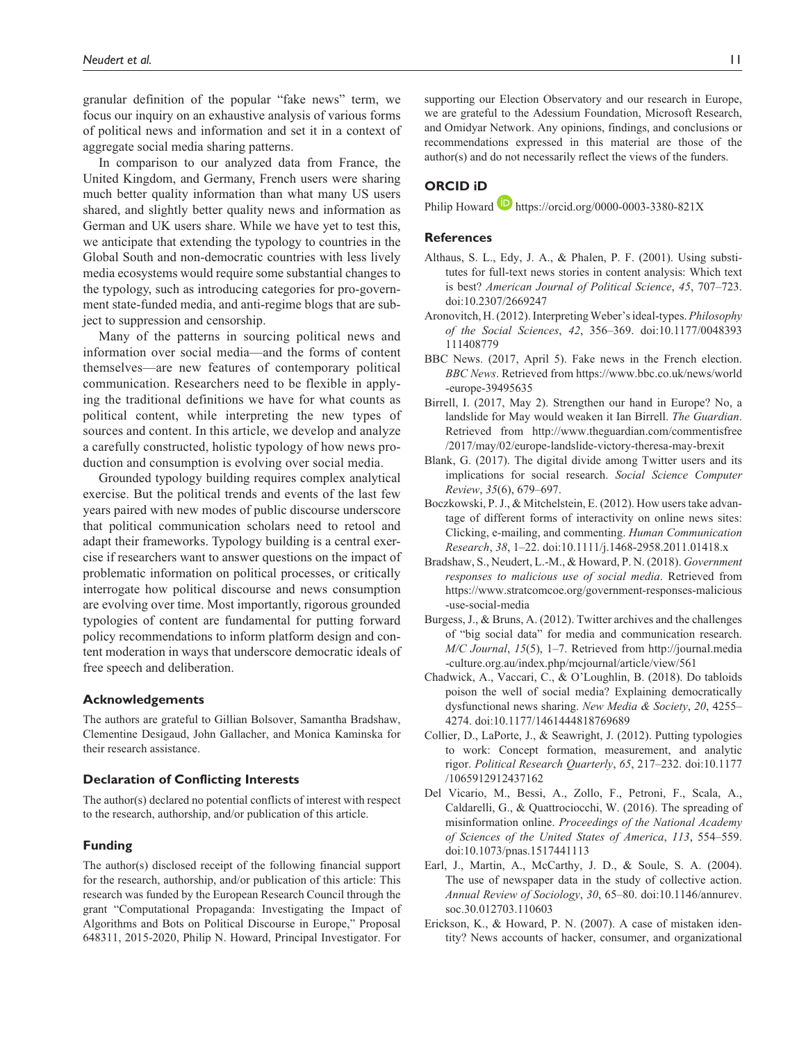granular definition of the popular "fake news" term, we focus our inquiry on an exhaustive analysis of various forms of political news and information and set it in a context of aggregate social media sharing patterns.

In comparison to our analyzed data from France, the United Kingdom, and Germany, French users were sharing much better quality information than what many US users shared, and slightly better quality news and information as German and UK users share. While we have yet to test this, we anticipate that extending the typology to countries in the Global South and non-democratic countries with less lively media ecosystems would require some substantial changes to the typology, such as introducing categories for pro-government state-funded media, and anti-regime blogs that are subject to suppression and censorship.

Many of the patterns in sourcing political news and information over social media—and the forms of content themselves—are new features of contemporary political communication. Researchers need to be flexible in applying the traditional definitions we have for what counts as political content, while interpreting the new types of sources and content. In this article, we develop and analyze a carefully constructed, holistic typology of how news production and consumption is evolving over social media.

Grounded typology building requires complex analytical exercise. But the political trends and events of the last few years paired with new modes of public discourse underscore that political communication scholars need to retool and adapt their frameworks. Typology building is a central exercise if researchers want to answer questions on the impact of problematic information on political processes, or critically interrogate how political discourse and news consumption are evolving over time. Most importantly, rigorous grounded typologies of content are fundamental for putting forward policy recommendations to inform platform design and content moderation in ways that underscore democratic ideals of free speech and deliberation.

#### **Acknowledgements**

The authors are grateful to Gillian Bolsover, Samantha Bradshaw, Clementine Desigaud, John Gallacher, and Monica Kaminska for their research assistance.

#### **Declaration of Conflicting Interests**

The author(s) declared no potential conflicts of interest with respect to the research, authorship, and/or publication of this article.

#### **Funding**

The author(s) disclosed receipt of the following financial support for the research, authorship, and/or publication of this article: This research was funded by the European Research Council through the grant "Computational Propaganda: Investigating the Impact of Algorithms and Bots on Political Discourse in Europe," Proposal 648311, 2015-2020, Philip N. Howard, Principal Investigator. For supporting our Election Observatory and our research in Europe, we are grateful to the Adessium Foundation, Microsoft Research, and Omidyar Network. Any opinions, findings, and conclusions or recommendations expressed in this material are those of the author(s) and do not necessarily reflect the views of the funders.

### **ORCID iD**

Philip Howard **<https://orcid.org/0000-0003-3380-821X>** 

#### **References**

- Althaus, S. L., Edy, J. A., & Phalen, P. F. (2001). Using substitutes for full-text news stories in content analysis: Which text is best? *American Journal of Political Science*, *45*, 707–723. doi:10.2307/2669247
- Aronovitch, H. (2012). Interpreting Weber's ideal-types. *Philosophy of the Social Sciences*, *42*, 356–369. doi:10.1177/0048393 111408779
- BBC News. (2017, April 5). Fake news in the French election. *BBC News*. Retrieved from [https://www.bbc.co.uk/news/world](https://www.bbc.co.uk/news/world-europe-39495635) [-europe-39495635](https://www.bbc.co.uk/news/world-europe-39495635)
- Birrell, I. (2017, May 2). Strengthen our hand in Europe? No, a landslide for May would weaken it Ian Birrell. *The Guardian*. Retrieved from [http://www.theguardian.com/commentisfree](http://www.theguardian.com/commentisfree/2017/may/02/europe-landslide-victory-theresa-may-brexit) [/2017/may/02/europe-landslide-victory-theresa-may-brexit](http://www.theguardian.com/commentisfree/2017/may/02/europe-landslide-victory-theresa-may-brexit)
- Blank, G. (2017). The digital divide among Twitter users and its implications for social research. *Social Science Computer Review*, *35*(6), 679–697.
- Boczkowski, P. J., & Mitchelstein, E. (2012). How users take advantage of different forms of interactivity on online news sites: Clicking, e-mailing, and commenting. *Human Communication Research*, *38*, 1–22. doi:10.1111/j.1468-2958.2011.01418.x
- Bradshaw, S., Neudert, L.-M., & Howard, P. N. (2018). *Government responses to malicious use of social media*. Retrieved from [https://www.stratcomcoe.org/government-responses-malicious](https://www.stratcomcoe.org/government-responses-malicious-use-social-media) [-use-social-media](https://www.stratcomcoe.org/government-responses-malicious-use-social-media)
- Burgess, J., & Bruns, A. (2012). Twitter archives and the challenges of "big social data" for media and communication research. *M/C Journal*, *15*(5), 1–7. Retrieved from [http://journal.media](http://journal.media-culture.org.au/index.php/mcjournal/article/view/561) [-culture.org.au/index.php/mcjournal/article/view/561](http://journal.media-culture.org.au/index.php/mcjournal/article/view/561)
- Chadwick, A., Vaccari, C., & O'Loughlin, B. (2018). Do tabloids poison the well of social media? Explaining democratically dysfunctional news sharing. *New Media & Society*, *20*, 4255– 4274. doi:10.1177/1461444818769689
- Collier, D., LaPorte, J., & Seawright, J. (2012). Putting typologies to work: Concept formation, measurement, and analytic rigor. *Political Research Quarterly*, *65*, 217–232. doi:10.1177 /1065912912437162
- Del Vicario, M., Bessi, A., Zollo, F., Petroni, F., Scala, A., Caldarelli, G., & Quattrociocchi, W. (2016). The spreading of misinformation online. *Proceedings of the National Academy of Sciences of the United States of America*, *113*, 554–559. doi:10.1073/pnas.1517441113
- Earl, J., Martin, A., McCarthy, J. D., & Soule, S. A. (2004). The use of newspaper data in the study of collective action. *Annual Review of Sociology*, *30*, 65–80. doi:10.1146/annurev. soc.30.012703.110603
- Erickson, K., & Howard, P. N. (2007). A case of mistaken identity? News accounts of hacker, consumer, and organizational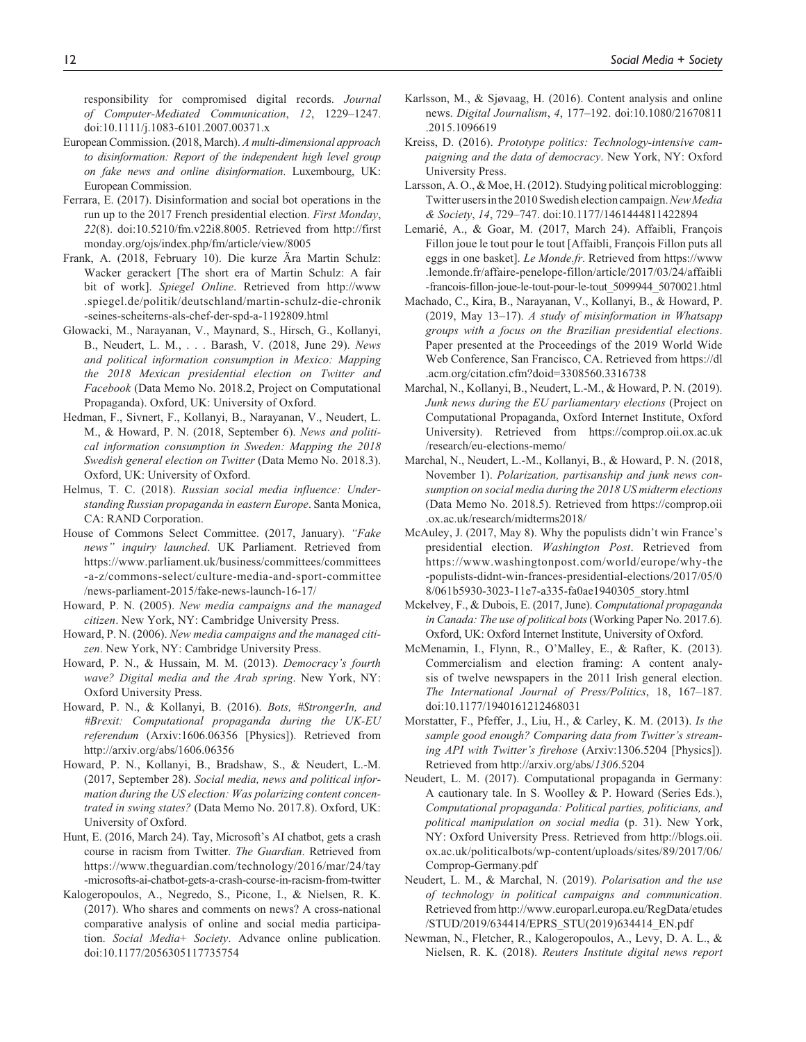responsibility for compromised digital records. *Journal of Computer-Mediated Communication*, *12*, 1229–1247. doi:10.1111/j.1083-6101.2007.00371.x

- European Commission. (2018, March). *A multi-dimensional approach to disinformation: Report of the independent high level group on fake news and online disinformation*. Luxembourg, UK: European Commission.
- Ferrara, E. (2017). Disinformation and social bot operations in the run up to the 2017 French presidential election. *First Monday*, *22*(8). doi:10.5210/fm.v22i8.8005. Retrieved from [http://first](http://firstmonday.org/ojs/index.php/fm/article/view/8005) [monday.org/ojs/index.php/fm/article/view/8005](http://firstmonday.org/ojs/index.php/fm/article/view/8005)
- Frank, A. (2018, February 10). Die kurze Ära Martin Schulz: Wacker gerackert [The short era of Martin Schulz: A fair bit of work]. *Spiegel Online*. Retrieved from [http://www](http://www.spiegel.de/politik/deutschland/martin-schulz-die-chronik-seines-scheiterns-als-chef-der-spd-a-1192809.html) [.spiegel.de/politik/deutschland/martin-schulz-die-chronik](http://www.spiegel.de/politik/deutschland/martin-schulz-die-chronik-seines-scheiterns-als-chef-der-spd-a-1192809.html) [-seines-scheiterns-als-chef-der-spd-a-1192809.html](http://www.spiegel.de/politik/deutschland/martin-schulz-die-chronik-seines-scheiterns-als-chef-der-spd-a-1192809.html)
- Glowacki, M., Narayanan, V., Maynard, S., Hirsch, G., Kollanyi, B., Neudert, L. M., . . . Barash, V. (2018, June 29). *News and political information consumption in Mexico: Mapping the 2018 Mexican presidential election on Twitter and Facebook* (Data Memo No. 2018.2, Project on Computational Propaganda). Oxford, UK: University of Oxford.
- Hedman, F., Sivnert, F., Kollanyi, B., Narayanan, V., Neudert, L. M., & Howard, P. N. (2018, September 6). *News and political information consumption in Sweden: Mapping the 2018 Swedish general election on Twitter* (Data Memo No. 2018.3). Oxford, UK: University of Oxford.
- Helmus, T. C. (2018). *Russian social media influence: Understanding Russian propaganda in eastern Europe*. Santa Monica, CA: RAND Corporation.
- House of Commons Select Committee. (2017, January). *"Fake news" inquiry launched*. UK Parliament. Retrieved from [https://www.parliament.uk/business/committees/committees](https://www.parliament.uk/business/committees/committees-a-z/commons-select/culture-media-and-sport-committee/news-parliament-2015/fake-news-launch-16-17/) [-a-z/commons-select/culture-media-and-sport-committee](https://www.parliament.uk/business/committees/committees-a-z/commons-select/culture-media-and-sport-committee/news-parliament-2015/fake-news-launch-16-17/) [/news-parliament-2015/fake-news-launch-16-17/](https://www.parliament.uk/business/committees/committees-a-z/commons-select/culture-media-and-sport-committee/news-parliament-2015/fake-news-launch-16-17/)
- Howard, P. N. (2005). *New media campaigns and the managed citizen*. New York, NY: Cambridge University Press.
- Howard, P. N. (2006). *New media campaigns and the managed citizen*. New York, NY: Cambridge University Press.
- Howard, P. N., & Hussain, M. M. (2013). *Democracy's fourth wave? Digital media and the Arab spring*. New York, NY: Oxford University Press.
- Howard, P. N., & Kollanyi, B. (2016). *Bots, #StrongerIn, and #Brexit: Computational propaganda during the UK-EU referendum* (Arxiv:1606.06356 [Physics]). Retrieved from <http://arxiv.org/abs/1606.06356>
- Howard, P. N., Kollanyi, B., Bradshaw, S., & Neudert, L.-M. (2017, September 28). *Social media, news and political information during the US election: Was polarizing content concentrated in swing states?* (Data Memo No. 2017.8). Oxford, UK: University of Oxford.
- Hunt, E. (2016, March 24). Tay, Microsoft's AI chatbot, gets a crash course in racism from Twitter. *The Guardian*. Retrieved from [https://www.theguardian.com/technology/2016/mar/24/tay](https://www.theguardian.com/technology/2016/mar/24/tay-microsofts-ai-chatbot-gets-a-crash-course-in-racism-from-twitter) [-microsofts-ai-chatbot-gets-a-crash-course-in-racism-from-twitter](https://www.theguardian.com/technology/2016/mar/24/tay-microsofts-ai-chatbot-gets-a-crash-course-in-racism-from-twitter)
- Kalogeropoulos, A., Negredo, S., Picone, I., & Nielsen, R. K. (2017). Who shares and comments on news? A cross-national comparative analysis of online and social media participation. *Social Media*+ *Society*. Advance online publication. doi:10.1177/2056305117735754
- Karlsson, M., & Sjøvaag, H. (2016). Content analysis and online news. *Digital Journalism*, *4*, 177–192. doi:10.1080/21670811 .2015.1096619
- Kreiss, D. (2016). *Prototype politics: Technology-intensive campaigning and the data of democracy*. New York, NY: Oxford University Press.
- Larsson, A. O., & Moe, H. (2012). Studying political microblogging: Twitter users in the 2010 Swedish election campaign. *New Media & Society*, *14*, 729–747. doi:10.1177/1461444811422894
- Lemarié, A., & Goar, M. (2017, March 24). Affaibli, François Fillon joue le tout pour le tout [Affaibli, François Fillon puts all eggs in one basket]. *Le Monde.fr*. Retrieved from [https://www](https://www.lemonde.fr/affaire-penelope-fillon/article/2017/03/24/affaibli-francois-fillon-joue-le-tout-pour-le-tout_5099944_5070021.html) [.lemonde.fr/affaire-penelope-fillon/article/2017/03/24/affaibli](https://www.lemonde.fr/affaire-penelope-fillon/article/2017/03/24/affaibli-francois-fillon-joue-le-tout-pour-le-tout_5099944_5070021.html) [-francois-fillon-joue-le-tout-pour-le-tout\\_5099944\\_5070021.html](https://www.lemonde.fr/affaire-penelope-fillon/article/2017/03/24/affaibli-francois-fillon-joue-le-tout-pour-le-tout_5099944_5070021.html)
- Machado, C., Kira, B., Narayanan, V., Kollanyi, B., & Howard, P. (2019, May 13–17). *A study of misinformation in Whatsapp groups with a focus on the Brazilian presidential elections*. Paper presented at the Proceedings of the 2019 World Wide Web Conference, San Francisco, CA. Retrieved from [https://dl](https://dl.acm.org/citation.cfm?doid=3308560.3316738) [.acm.org/citation.cfm?doid=3308560.3316738](https://dl.acm.org/citation.cfm?doid=3308560.3316738)
- Marchal, N., Kollanyi, B., Neudert, L.-M., & Howard, P. N. (2019). *Junk news during the EU parliamentary elections* (Project on Computational Propaganda, Oxford Internet Institute, Oxford University). Retrieved from [https://comprop.oii.ox.ac.uk](https://comprop.oii.ox.ac.uk/research/eu-elections-memo/) [/research/eu-elections-memo/](https://comprop.oii.ox.ac.uk/research/eu-elections-memo/)
- Marchal, N., Neudert, L.-M., Kollanyi, B., & Howard, P. N. (2018, November 1). *Polarization, partisanship and junk news consumption on social media during the 2018 US midterm elections* (Data Memo No. 2018.5). Retrieved from [https://comprop.oii](https://comprop.oii.ox.ac.uk/research/midterms2018/) [.ox.ac.uk/research/midterms2018/](https://comprop.oii.ox.ac.uk/research/midterms2018/)
- McAuley, J. (2017, May 8). Why the populists didn't win France's presidential election. *Washington Post*. Retrieved from [https://www.washingtonpost.com/world/europe/why-the](https://www.washingtonpost.com/world/europe/why-the-populists-didnt-win-frances-presidential-elections/2017/05/08/061b5930-3023-11e7-a335-fa0ae1940305_story.html) [-populists-didnt-win-frances-presidential-elections/2017/05/0](https://www.washingtonpost.com/world/europe/why-the-populists-didnt-win-frances-presidential-elections/2017/05/08/061b5930-3023-11e7-a335-fa0ae1940305_story.html) [8/061b5930-3023-11e7-a335-fa0ae1940305\\_story.html](https://www.washingtonpost.com/world/europe/why-the-populists-didnt-win-frances-presidential-elections/2017/05/08/061b5930-3023-11e7-a335-fa0ae1940305_story.html)
- Mckelvey, F., & Dubois, E. (2017, June). *Computational propaganda in Canada: The use of political bots* (Working Paper No. 2017.6). Oxford, UK: Oxford Internet Institute, University of Oxford.
- McMenamin, I., Flynn, R., O'Malley, E., & Rafter, K. (2013). Commercialism and election framing: A content analysis of twelve newspapers in the 2011 Irish general election. *The International Journal of Press/Politics*, 18, 167–187. doi:10.1177/1940161212468031
- Morstatter, F., Pfeffer, J., Liu, H., & Carley, K. M. (2013). *Is the sample good enough? Comparing data from Twitter's streaming API with Twitter's firehose* (Arxiv:1306.5204 [Physics]). Retrieved from<http://arxiv.org/abs/>*1306*.5204
- Neudert, L. M. (2017). Computational propaganda in Germany: A cautionary tale. In S. Woolley & P. Howard (Series Eds.), *Computational propaganda: Political parties, politicians, and political manipulation on social media* (p. 31). New York, NY: Oxford University Press. Retrieved from [http://blogs.oii.](http://blogs.oii.ox.ac.uk/politicalbots/wp-content/uploads/sites/89/2017/06/Comprop-Germany.pdf) [ox.ac.uk/politicalbots/wp-content/uploads/sites/89/2017/06/](http://blogs.oii.ox.ac.uk/politicalbots/wp-content/uploads/sites/89/2017/06/Comprop-Germany.pdf) [Comprop-Germany.pdf](http://blogs.oii.ox.ac.uk/politicalbots/wp-content/uploads/sites/89/2017/06/Comprop-Germany.pdf)
- Neudert, L. M., & Marchal, N. (2019). *Polarisation and the use of technology in political campaigns and communication*. Retrieved from [http://www.europarl.europa.eu/RegData/etudes](http://www.europarl.europa.eu/RegData/etudes/STUD/2019/634414/EPRS_STU(2019)634414_EN.pdf) [/STUD/2019/634414/EPRS\\_STU\(2019\)634414\\_EN.pdf](http://www.europarl.europa.eu/RegData/etudes/STUD/2019/634414/EPRS_STU(2019)634414_EN.pdf)
- Newman, N., Fletcher, R., Kalogeropoulos, A., Levy, D. A. L., & Nielsen, R. K. (2018). *Reuters Institute digital news report*